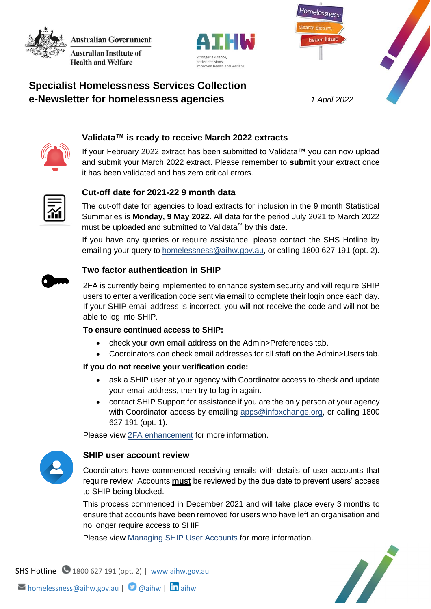**Australian Government Australian Institute of** 

**Health and Welfare** 





# **Specialist Homelessness Services Collection e-Newsletter for homelessness agencies** *1 April 2022*



# **Validata™ is ready to receive March 2022 extracts**

If your February 2022 extract has been submitted to Validata™ you can now upload and submit your March 2022 extract. Please remember to **submit** your extract once it has been validated and has zero critical errors.



# **Cut-off date for 2021-22 9 month data**

The cut-off date for agencies to load extracts for inclusion in the 9 month Statistical Summaries is **Monday, 9 May 2022**. All data for the period July 2021 to March 2022 must be uploaded and submitted to Validata™ by this date.

If you have any queries or require assistance, please contact the SHS Hotline by emailing your query to [homelessness@aihw.gov.au,](mailto:homelessness@aihw.gov.au) or calling 1800 627 191 (opt. 2).



#### **Two factor authentication in SHIP**

2FA is currently being implemented to enhance system security and will require SHIP users to enter a verification code sent via email to complete their login once each day. If your SHIP email address is incorrect, you will not receive the code and will not be able to log into SHIP.

### **To ensure continued access to SHIP:**

- check your own email address on the Admin>Preferences tab.
- Coordinators can check email addresses for all staff on the Admin>Users tab.

#### **If you do not receive your verification code:**

- ask a SHIP user at your agency with Coordinator access to check and update your email address, then try to log in again.
- contact SHIP Support for assistance if you are the only person at your agency with Coordinator access by emailing [apps@infoxchange.org,](mailto:apps@infoxchange.org) or calling 1800 627 191 (opt. 1).

Please view [2FA enhancement](https://www.aihw.gov.au/getmedia/9d8e3bd2-9e10-4cab-9822-e7b15679edfb/Two-factor-authentication.pdf.aspx) for more information.



#### **SHIP user account review**

Coordinators have commenced receiving emails with details of user accounts that require review. Accounts **must** be reviewed by the due date to prevent users' access to SHIP being blocked.

This process commenced in December 2021 and will take place every 3 months to ensure that accounts have been removed for users who have left an organisation and no longer require access to SHIP.

Please view [Managing SHIP User Accounts](https://www.aihw.gov.au/getmedia/de56979b-d9d2-4944-a5a7-d702c1c264be/Managing-User-Accounts.pdf.aspx) for more information.



SHS Hotline 1800 627 191 (opt. 2) | [www.aihw.gov.au](http://www.aihw.gov.au/)

 $\triangleright$  [homelessness@aihw.gov.au](mailto:homelessness@aihw.gov.au) |  $\bigcirc$  [@aihw](https://twitter.com/aihw) |  $\ln$ [aihw](https://www.linkedin.com/company/australian-institute-of-health-and-welfare/)